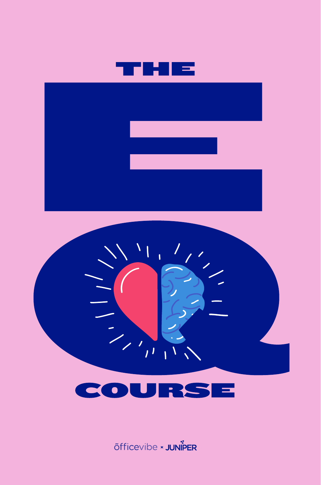







õfficevibe **× JUNIPER**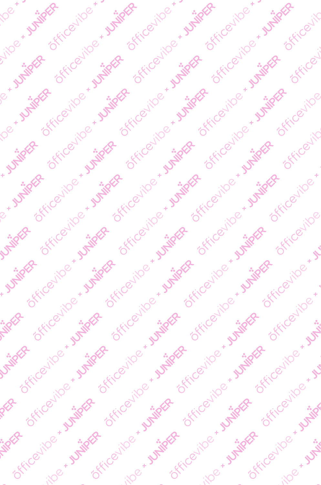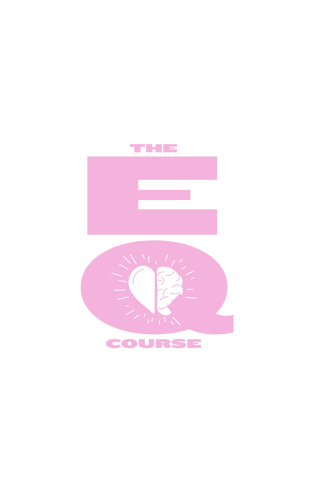

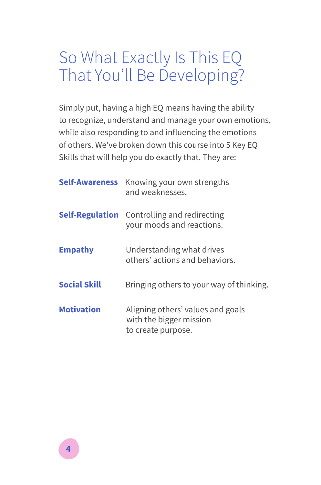## So What Exactly Is This EQ That You'll Be Developing?

Simply put, having a high EQ means having the ability to recognize, understand and manage your own emotions, while also responding to and influencing the emotions of others. We've broken down this course into 5 Key EQ Skills that will help you do exactly that. They are:

|                     | Self-Awareness Knowing your own strengths<br>and weaknesses.                       |
|---------------------|------------------------------------------------------------------------------------|
|                     | <b>Self-Regulation</b> Controlling and redirecting<br>your moods and reactions.    |
| <b>Empathy</b>      | Understanding what drives<br>others' actions and behaviors.                        |
| <b>Social Skill</b> | Bringing others to your way of thinking.                                           |
| <b>Motivation</b>   | Aligning others' values and goals<br>with the bigger mission<br>to create purpose. |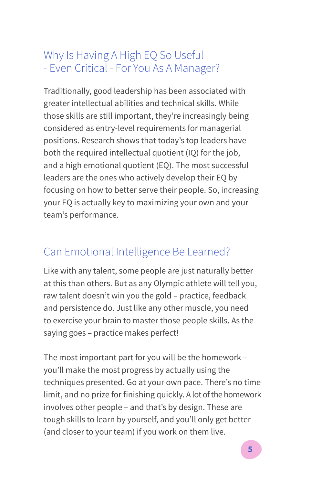### Why Is Having A High EQ So Useful - Even Critical - For You As A Manager?

Traditionally, good leadership has been associated with greater intellectual abilities and technical skills. While those skills are still important, they're increasingly being considered as entry-level requirements for managerial positions. Research shows that today's top leaders have both the required intellectual quotient (IQ) for the job, and a high emotional quotient (EQ). The most successful leaders are the ones who actively develop their EQ by focusing on how to better serve their people. So, increasing your EQ is actually key to maximizing your own and your team's performance.

## Can Emotional Intelligence Be Learned?

Like with any talent, some people are just naturally better at this than others. But as any Olympic athlete will tell you, raw talent doesn't win you the gold – practice, feedback and persistence do. Just like any other muscle, you need to exercise your brain to master those people skills. As the saying goes – practice makes perfect!

The most important part for you will be the homework – you'll make the most progress by actually using the techniques presented. Go at your own pace. There's no time limit, and no prize for finishing quickly. A lot of the homework involves other people – and that's by design. These are tough skills to learn by yourself, and you'll only get better (and closer to your team) if you work on them live.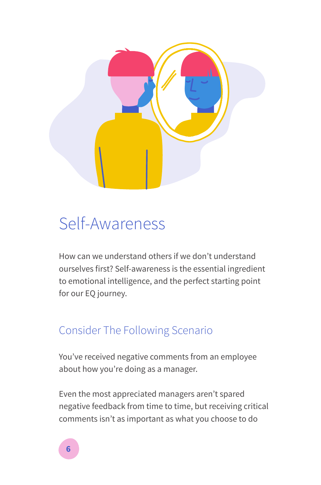

# Self-Awareness

How can we understand others if we don't understand ourselves first? Self-awareness is the essential ingredient to emotional intelligence, and the perfect starting point for our EQ journey.

## Consider The Following Scenario

You've received negative comments from an employee about how you're doing as a manager.

Even the most appreciated managers aren't spared negative feedback from time to time, but receiving critical comments isn't as important as what you choose to do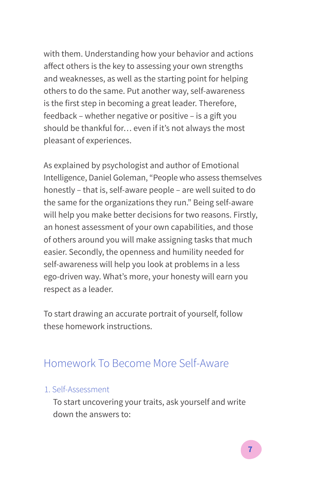with them. Understanding how your behavior and actions affect others is the key to assessing your own strengths and weaknesses, as well as the starting point for helping others to do the same. Put another way, self-awareness is the first step in becoming a great leader. Therefore, feedback – whether negative or positive – is a gift you should be thankful for… even if it's not always the most pleasant of experiences.

As explained by psychologist and author of Emotional Intelligence, Daniel Goleman, "People who assess themselves honestly – that is, self-aware people – are well suited to do the same for the organizations they run." Being self-aware will help you make better decisions for two reasons. Firstly, an honest assessment of your own capabilities, and those of others around you will make assigning tasks that much easier. Secondly, the openness and humility needed for self-awareness will help you look at problems in a less ego-driven way. What's more, your honesty will earn you respect as a leader.

To start drawing an accurate portrait of yourself, follow these homework instructions.

#### Homework To Become More Self-Aware

#### 1. Self-Assessment

To start uncovering your traits, ask yourself and write down the answers to: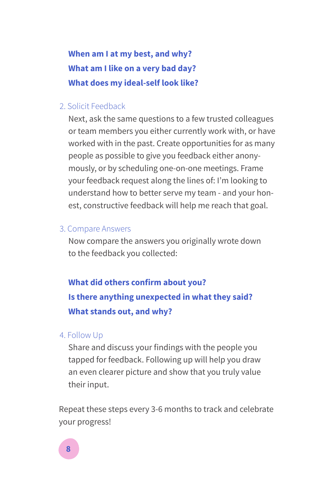**When am I at my best, and why? What am I like on a very bad day? What does my ideal-self look like?**

#### 2. Solicit Feedback

Next, ask the same questions to a few trusted colleagues or team members you either currently work with, or have worked with in the past. Create opportunities for as many people as possible to give you feedback either anonymously, or by scheduling one-on-one meetings. Frame your feedback request along the lines of: I'm looking to understand how to better serve my team - and your honest, constructive feedback will help me reach that goal.

#### 3. Compare Answers

Now compare the answers you originally wrote down to the feedback you collected:

### **What did others confirm about you? Is there anything unexpected in what they said? What stands out, and why?**

4. Follow Up

Share and discuss your findings with the people you tapped for feedback. Following up will help you draw an even clearer picture and show that you truly value their input.

Repeat these steps every 3-6 months to track and celebrate your progress!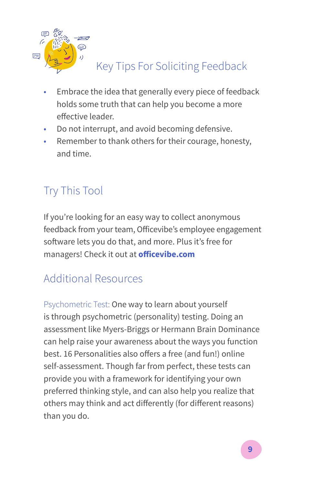

## Key Tips For Soliciting Feedback

- Embrace the idea that generally every piece of feedback holds some truth that can help you become a more effective leader.
- Do not interrupt, and avoid becoming defensive.
- Remember to thank others for their courage, honesty, and time.

## Try This Tool

If you're looking for an easy way to collect anonymous feedback from your team, Officevibe's employee engagement software lets you do that, and more. Plus it's free for managers! Check it out at **officevibe.com**

## Additional Resources

Psychometric Test: One way to learn about yourself is through psychometric (personality) testing. Doing an assessment like Myers-Briggs or Hermann Brain Dominance can help raise your awareness about the ways you function best. 16 Personalities also offers a free (and fun!) online self-assessment. Though far from perfect, these tests can provide you with a framework for identifying your own preferred thinking style, and can also help you realize that others may think and act differently (for different reasons) than you do.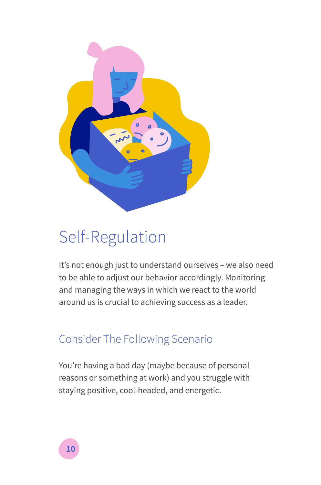

# Self-Regulation

It's not enough just to understand ourselves – we also need to be able to adjust our behavior accordingly. Monitoring and managing the ways in which we react to the world around us is crucial to achieving success as a leader.

## Consider The Following Scenario

You're having a bad day (maybe because of personal reasons or something at work) and you struggle with staying positive, cool-headed, and energetic.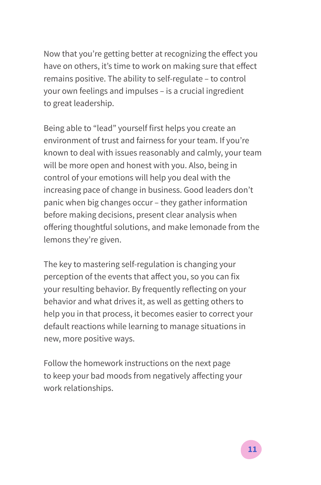Now that you're getting better at recognizing the effect you have on others, it's time to work on making sure that effect remains positive. The ability to self-regulate – to control your own feelings and impulses – is a crucial ingredient to great leadership.

Being able to "lead" yourself first helps you create an environment of trust and fairness for your team. If you're known to deal with issues reasonably and calmly, your team will be more open and honest with you. Also, being in control of your emotions will help you deal with the increasing pace of change in business. Good leaders don't panic when big changes occur – they gather information before making decisions, present clear analysis when offering thoughtful solutions, and make lemonade from the lemons they're given.

The key to mastering self-regulation is changing your perception of the events that affect you, so you can fix your resulting behavior. By frequently reflecting on your behavior and what drives it, as well as getting others to help you in that process, it becomes easier to correct your default reactions while learning to manage situations in new, more positive ways.

Follow the homework instructions on the next page to keep your bad moods from negatively affecting your work relationships.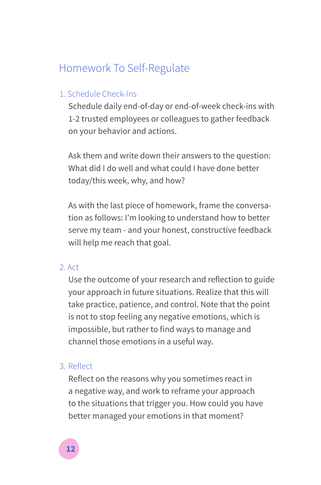### Homework To Self-Regulate

#### 1. Schedule Check-Ins

Schedule daily end-of-day or end-of-week check-ins with 1-2 trusted employees or colleagues to gather feedback on your behavior and actions.

Ask them and write down their answers to the question: What did I do well and what could I have done better today/this week, why, and how?

As with the last piece of homework, frame the conversation as follows: I'm looking to understand how to better serve my team - and your honest, constructive feedback will help me reach that goal.

#### 2. Act

Use the outcome of your research and reflection to guide your approach in future situations. Realize that this will take practice, patience, and control. Note that the point is not to stop feeling any negative emotions, which is impossible, but rather to find ways to manage and channel those emotions in a useful way.

#### 3. Reflect

Reflect on the reasons why you sometimes react in a negative way, and work to reframe your approach to the situations that trigger you. How could you have better managed your emotions in that moment?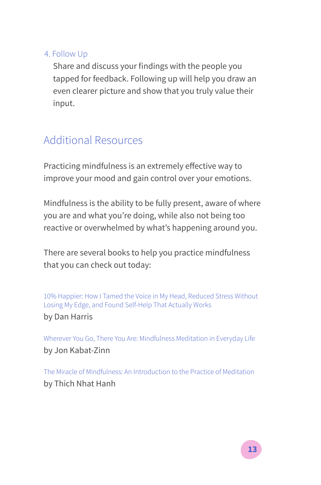#### 4. Follow Up

Share and discuss your findings with the people you tapped for feedback. Following up will help you draw an even clearer picture and show that you truly value their input.

## Additional Resources

Practicing mindfulness is an extremely effective way to improve your mood and gain control over your emotions.

Mindfulness is the ability to be fully present, aware of where you are and what you're doing, while also not being too reactive or overwhelmed by what's happening around you.

There are several books to help you practice mindfulness that you can check out today:

10% Happier: How I Tamed the Voice in My Head, Reduced Stress Without Losing My Edge, and Found Self-Help That Actually Works by Dan Harris

Wherever You Go, There You Are: Mindfulness Meditation in Everyday Life by Jon Kabat-Zinn

The Miracle of Mindfulness: An Introduction to the Practice of Meditation by Thich Nhat Hanh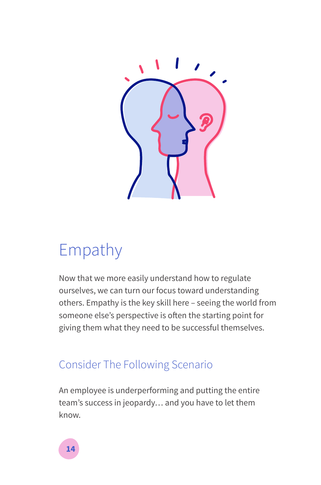

# Empathy

Now that we more easily understand how to regulate ourselves, we can turn our focus toward understanding others. Empathy is the key skill here – seeing the world from someone else's perspective is often the starting point for giving them what they need to be successful themselves.

## Consider The Following Scenario

An employee is underperforming and putting the entire team's success in jeopardy… and you have to let them know.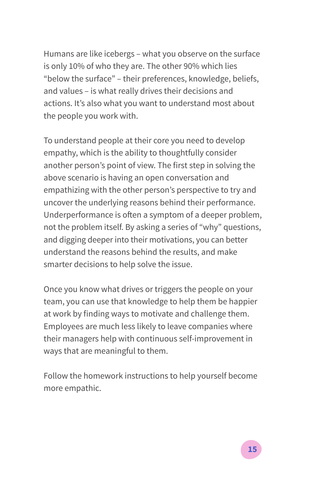Humans are like icebergs – what you observe on the surface is only 10% of who they are. The other 90% which lies "below the surface" – their preferences, knowledge, beliefs, and values – is what really drives their decisions and actions. It's also what you want to understand most about the people you work with.

To understand people at their core you need to develop empathy, which is the ability to thoughtfully consider another person's point of view. The first step in solving the above scenario is having an open conversation and empathizing with the other person's perspective to try and uncover the underlying reasons behind their performance. Underperformance is often a symptom of a deeper problem, not the problem itself. By asking a series of "why" questions, and digging deeper into their motivations, you can better understand the reasons behind the results, and make smarter decisions to help solve the issue.

Once you know what drives or triggers the people on your team, you can use that knowledge to help them be happier at work by finding ways to motivate and challenge them. Employees are much less likely to leave companies where their managers help with continuous self-improvement in ways that are meaningful to them.

Follow the homework instructions to help yourself become more empathic.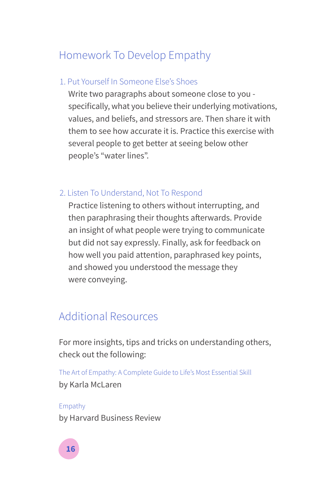### Homework To Develop Empathy

#### 1. Put Yourself In Someone Else's Shoes

Write two paragraphs about someone close to you specifically, what you believe their underlying motivations, values, and beliefs, and stressors are. Then share it with them to see how accurate it is. Practice this exercise with several people to get better at seeing below other people's "water lines".

#### 2. Listen To Understand, Not To Respond

Practice listening to others without interrupting, and then paraphrasing their thoughts afterwards. Provide an insight of what people were trying to communicate but did not say expressly. Finally, ask for feedback on how well you paid attention, paraphrased key points, and showed you understood the message they were conveying.

### Additional Resources

For more insights, tips and tricks on understanding others, check out the following:

The Art of Empathy: A Complete Guide to Life's Most Essential Skill by Karla McLaren

#### Empathy

by Harvard Business Review

**16**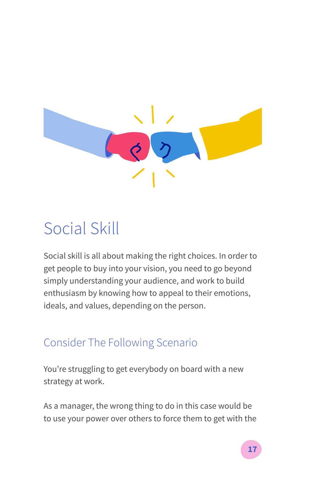

# Social Skill

Social skill is all about making the right choices. In order to get people to buy into your vision, you need to go beyond simply understanding your audience, and work to build enthusiasm by knowing how to appeal to their emotions, ideals, and values, depending on the person.

## Consider The Following Scenario

You're struggling to get everybody on board with a new strategy at work.

As a manager, the wrong thing to do in this case would be to use your power over others to force them to get with the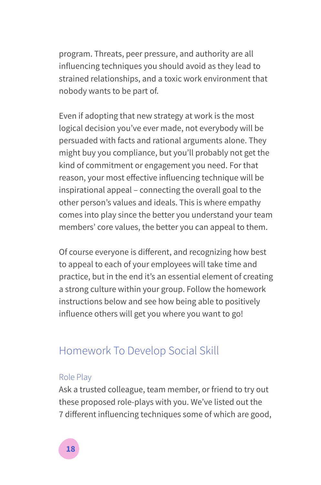program. Threats, peer pressure, and authority are all influencing techniques you should avoid as they lead to strained relationships, and a toxic work environment that nobody wants to be part of.

Even if adopting that new strategy at work is the most logical decision you've ever made, not everybody will be persuaded with facts and rational arguments alone. They might buy you compliance, but you'll probably not get the kind of commitment or engagement you need. For that reason, your most effective influencing technique will be inspirational appeal – connecting the overall goal to the other person's values and ideals. This is where empathy comes into play since the better you understand your team members' core values, the better you can appeal to them.

Of course everyone is different, and recognizing how best to appeal to each of your employees will take time and practice, but in the end it's an essential element of creating a strong culture within your group. Follow the homework instructions below and see how being able to positively influence others will get you where you want to go!

### Homework To Develop Social Skill

#### Role Play

Ask a trusted colleague, team member, or friend to try out these proposed role-plays with you. We've listed out the 7 different influencing techniques some of which are good,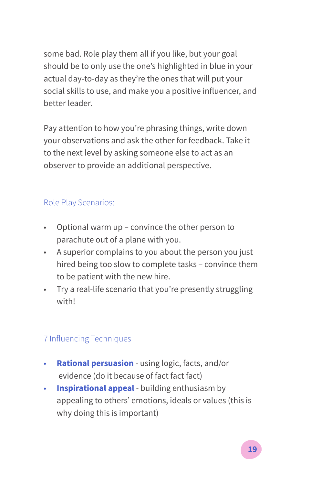some bad. Role play them all if you like, but your goal should be to only use the one's highlighted in blue in your actual day-to-day as they're the ones that will put your social skills to use, and make you a positive influencer, and better leader.

Pay attention to how you're phrasing things, write down your observations and ask the other for feedback. Take it to the next level by asking someone else to act as an observer to provide an additional perspective.

#### Role Play Scenarios:

- Optional warm up convince the other person to parachute out of a plane with you.
- A superior complains to you about the person you just hired being too slow to complete tasks – convince them to be patient with the new hire.
- Try a real-life scenario that you're presently struggling with!

#### 7 Influencing Techniques

- **Rational persuasion**  using logic, facts, and/or evidence (do it because of fact fact fact)
- **Inspirational appeal** building enthusiasm by appealing to others' emotions, ideals or values (this is why doing this is important)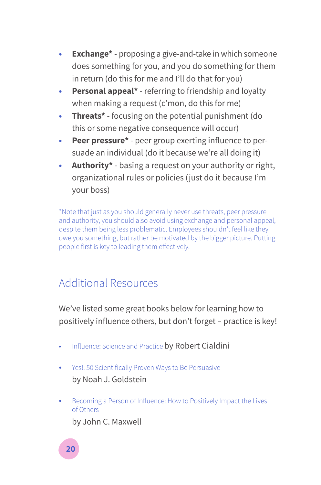- **• Exchange\*** proposing a give-and-take in which someone does something for you, and you do something for them in return (do this for me and I'll do that for you)
- **• Personal appeal\*** referring to friendship and loyalty when making a request (c'mon, do this for me)
- **• Threats\*** focusing on the potential punishment (do this or some negative consequence will occur)
- **• Peer pressure\*** peer group exerting influence to persuade an individual (do it because we're all doing it)
- **• Authority\*** basing a request on your authority or right, organizational rules or policies (just do it because I'm your boss)

\*Note that just as you should generally never use threats, peer pressure and authority, you should also avoid using exchange and personal appeal, despite them being less problematic. Employees shouldn't feel like they owe you something, but rather be motivated by the bigger picture. Putting people first is key to leading them effectively.

### Additional Resources

We've listed some great books below for learning how to positively influence others, but don't forget – practice is key!

- Influence: Science and Practice by Robert Cialdini
- Yes!: 50 Scientifically Proven Ways to Be Persuasive by Noah J. Goldstein
- Becoming a Person of Influence: How to Positively Impact the Lives of Others

by John C. Maxwell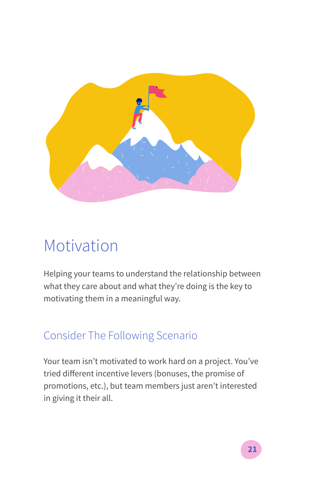

# Motivation

Helping your teams to understand the relationship between what they care about and what they're doing is the key to motivating them in a meaningful way.

## Consider The Following Scenario

Your team isn't motivated to work hard on a project. You've tried different incentive levers (bonuses, the promise of promotions, etc.), but team members just aren't interested in giving it their all.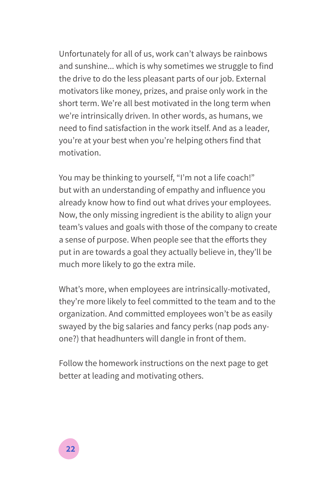Unfortunately for all of us, work can't always be rainbows and sunshine... which is why sometimes we struggle to find the drive to do the less pleasant parts of our job. External motivators like money, prizes, and praise only work in the short term. We're all best motivated in the long term when we're intrinsically driven. In other words, as humans, we need to find satisfaction in the work itself. And as a leader, you're at your best when you're helping others find that motivation.

You may be thinking to yourself, "I'm not a life coach!" but with an understanding of empathy and influence you already know how to find out what drives your employees. Now, the only missing ingredient is the ability to align your team's values and goals with those of the company to create a sense of purpose. When people see that the efforts they put in are towards a goal they actually believe in, they'll be much more likely to go the extra mile.

What's more, when employees are intrinsically-motivated, they're more likely to feel committed to the team and to the organization. And committed employees won't be as easily swayed by the big salaries and fancy perks (nap pods anyone?) that headhunters will dangle in front of them.

Follow the homework instructions on the next page to get better at leading and motivating others.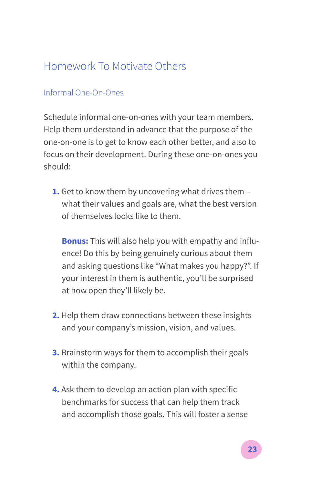## Homework To Motivate Others

#### Informal One-On-Ones

Schedule informal one-on-ones with your team members. Help them understand in advance that the purpose of the one-on-one is to get to know each other better, and also to focus on their development. During these one-on-ones you should:

1. Get to know them by uncovering what drives them what their values and goals are, what the best version of themselves looks like to them.

**Bonus:** This will also help you with empathy and influence! Do this by being genuinely curious about them and asking questions like "What makes you happy?". If your interest in them is authentic, you'll be surprised at how open they'll likely be.

- **2.** Help them draw connections between these insights and your company's mission, vision, and values.
- **3.** Brainstorm ways for them to accomplish their goals within the company.
- **4.** Ask them to develop an action plan with specific benchmarks for success that can help them track and accomplish those goals. This will foster a sense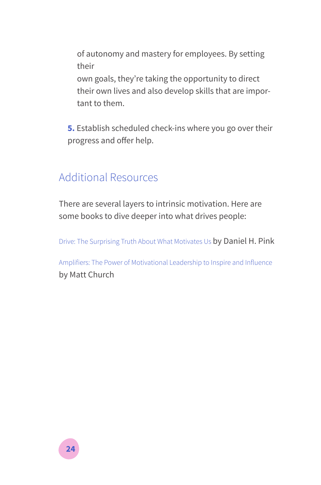of autonomy and mastery for employees. By setting their

own goals, they're taking the opportunity to direct their own lives and also develop skills that are important to them.

**5.** Establish scheduled check-ins where you go over their progress and offer help.

#### Additional Resources

There are several layers to intrinsic motivation. Here are some books to dive deeper into what drives people:

Drive: The Surprising Truth About What Motivates Us by Daniel H. Pink

Amplifiers: The Power of Motivational Leadership to Inspire and Influence by Matt Church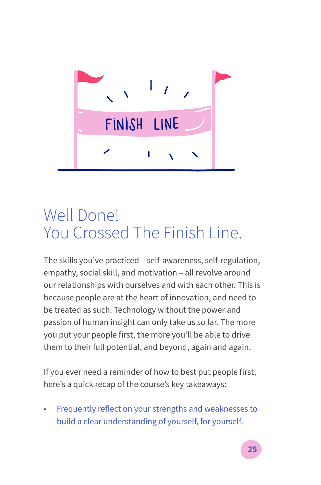

# Well Done! You Crossed The Finish Line.

The skills you've practiced – self-awareness, self-regulation, empathy, social skill, and motivation – all revolve around our relationships with ourselves and with each other. This is because people are at the heart of innovation, and need to be treated as such. Technology without the power and passion of human insight can only take us so far. The more you put your people first, the more you'll be able to drive them to their full potential, and beyond, again and again.

If you ever need a reminder of how to best put people first, here's a quick recap of the course's key takeaways:

• Frequently reflect on your strengths and weaknesses to build a clear understanding of yourself, for yourself.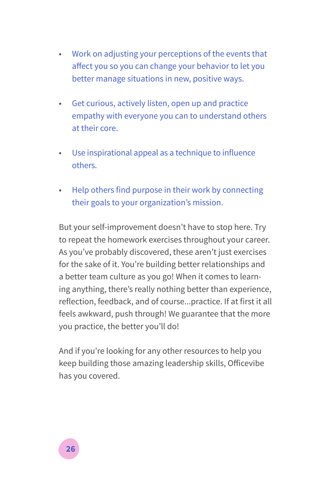- Work on adjusting your perceptions of the events that affect you so you can change your behavior to let you better manage situations in new, positive ways.
- Get curious, actively listen, open up and practice empathy with everyone you can to understand others at their core.
- Use inspirational appeal as a technique to influence others.
- Help others find purpose in their work by connecting their goals to your organization's mission.

But your self-improvement doesn't have to stop here. Try to repeat the homework exercises throughout your career. As you've probably discovered, these aren't just exercises for the sake of it. You're building better relationships and a better team culture as you go! When it comes to learning anything, there's really nothing better than experience, reflection, feedback, and of course...practice. If at first it all feels awkward, push through! We guarantee that the more you practice, the better you'll do!

And if you're looking for any other resources to help you keep building those amazing leadership skills, Officevibe has you covered.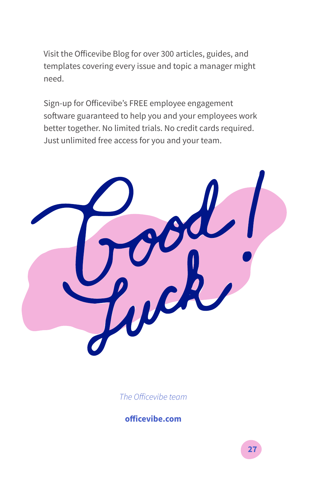Visit the Officevibe Blog for over 300 articles, guides, and templates covering every issue and topic a manager might need.

Sign-up for Officevibe's FREE employee engagement software guaranteed to help you and your employees work better together. No limited trials. No credit cards required. Just unlimited free access for you and your team.



The Officevibe team

**officevibe.com**